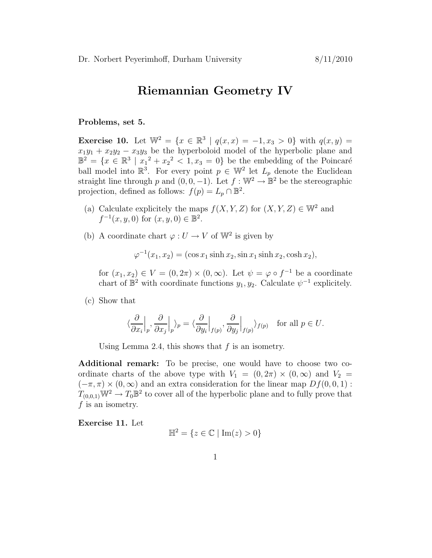## Riemannian Geometry IV

## Problems, set 5.

**Exercise 10.** Let  $\mathbb{W}^2 = \{x \in \mathbb{R}^3 \mid q(x,x) = -1, x_3 > 0\}$  with  $q(x,y) =$  $x_1y_1 + x_2y_2 - x_3y_3$  be the hyperboloid model of the hyperbolic plane and  $\mathbb{B}^2 = \{x \in \mathbb{R}^3 \mid x_1^2 + x_2^2 < 1, x_3 = 0\}$  be the embedding of the Poincaré ball model into  $\mathbb{R}^3$ . For every point  $p \in \mathbb{W}^2$  let  $L_p$  denote the Euclidean straight line through p and  $(0,0,-1)$ . Let  $f : \mathbb{W}^2 \to \mathbb{B}^2$  be the stereographic projection, defined as follows:  $f(p) = L_p \cap \mathbb{B}^2$ .

- (a) Calculate explicitely the maps  $f(X, Y, Z)$  for  $(X, Y, Z) \in \mathbb{W}^2$  and  $f^{-1}(x, y, 0)$  for  $(x, y, 0) \in \mathbb{B}^2$ .
- (b) A coordinate chart  $\varphi: U \to V$  of  $\mathbb{W}^2$  is given by

 $\varphi^{-1}(x_1, x_2) = (\cos x_1 \sinh x_2, \sin x_1 \sinh x_2, \cosh x_2),$ 

for  $(x_1, x_2) \in V = (0, 2\pi) \times (0, \infty)$ . Let  $\psi = \varphi \circ f^{-1}$  be a coordinate chart of  $\mathbb{B}^2$  with coordinate functions  $y_1, y_2$ . Calculate  $\psi^{-1}$  explicitely.

(c) Show that

$$
\langle \frac{\partial}{\partial x_i} \Big|_p, \frac{\partial}{\partial x_j} \Big|_p \rangle_p = \langle \frac{\partial}{\partial y_i} \Big|_{f(p)}, \frac{\partial}{\partial y_j} \Big|_{f(p)} \rangle_{f(p)} \text{ for all } p \in U.
$$

Using Lemma 2.4, this shows that  $f$  is an isometry.

Additional remark: To be precise, one would have to choose two coordinate charts of the above type with  $V_1 = (0, 2\pi) \times (0, \infty)$  and  $V_2 =$  $(-\pi, \pi) \times (0, \infty)$  and an extra consideration for the linear map  $Df(0, 0, 1)$ :  $T_{(0,0,1)}\mathbb{W}^2 \to T_0 \mathbb{B}^2$  to cover all of the hyperbolic plane and to fully prove that  $f$  is an isometry.

Exercise 11. Let

$$
\mathbb{H}^2 = \{ z \in \mathbb{C} \mid \mathrm{Im}(z) > 0 \}
$$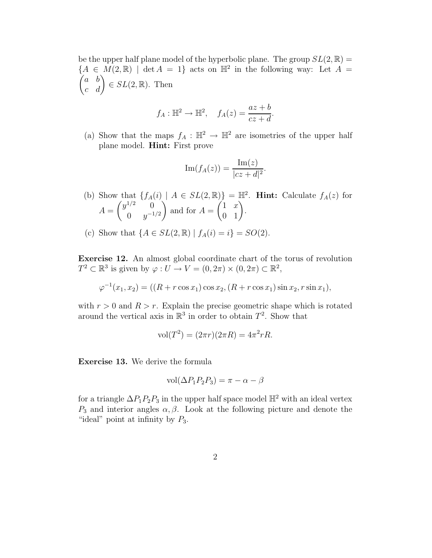be the upper half plane model of the hyperbolic plane. The group  $SL(2,\mathbb{R}) =$  ${A \in M(2,\mathbb{R}) \mid \det A = 1}$  acts on  $\mathbb{H}^2$  in the following way: Let  $A =$  $\begin{pmatrix} a & b \\ c & d \end{pmatrix} \in SL(2, \mathbb{R})$ . Then

$$
f_A: \mathbb{H}^2 \to \mathbb{H}^2
$$
,  $f_A(z) = \frac{az+b}{cz+d}$ .

(a) Show that the maps  $f_A : \mathbb{H}^2 \to \mathbb{H}^2$  are isometries of the upper half plane model. Hint: First prove

$$
\operatorname{Im}(f_A(z)) = \frac{\operatorname{Im}(z)}{|cz+d|^2}.
$$

- (b) Show that  $\{f_A(i) \mid A \in SL(2,\mathbb{R})\} = \mathbb{H}^2$ . **Hint:** Calculate  $f_A(z)$  for  $A =$  $\int y^{1/2} = 0$ 0  $y^{-1/2}$  $\setminus$ and for  $A =$  $\begin{pmatrix} 1 & x \\ 0 & 1 \end{pmatrix}$ .
- (c) Show that  $\{A \in SL(2, \mathbb{R}) \mid f_A(i) = i\} = SO(2)$ .

Exercise 12. An almost global coordinate chart of the torus of revolution  $T^2 \subset \mathbb{R}^3$  is given by  $\varphi: U \to V = (0, 2\pi) \times (0, 2\pi) \subset \mathbb{R}^2$ ,

$$
\varphi^{-1}(x_1, x_2) = ((R + r \cos x_1) \cos x_2, (R + r \cos x_1) \sin x_2, r \sin x_1),
$$

with  $r > 0$  and  $R > r$ . Explain the precise geometric shape which is rotated around the vertical axis in  $\mathbb{R}^3$  in order to obtain  $T^2$ . Show that

$$
vol(T^2) = (2\pi r)(2\pi R) = 4\pi^2 rR.
$$

Exercise 13. We derive the formula

$$
vol(\Delta P_1 P_2 P_3) = \pi - \alpha - \beta
$$

for a triangle  $\Delta P_1 P_2 P_3$  in the upper half space model  $\mathbb{H}^2$  with an ideal vertex  $P_3$  and interior angles  $\alpha, \beta$ . Look at the following picture and denote the "ideal" point at infinity by  $P_3$ .